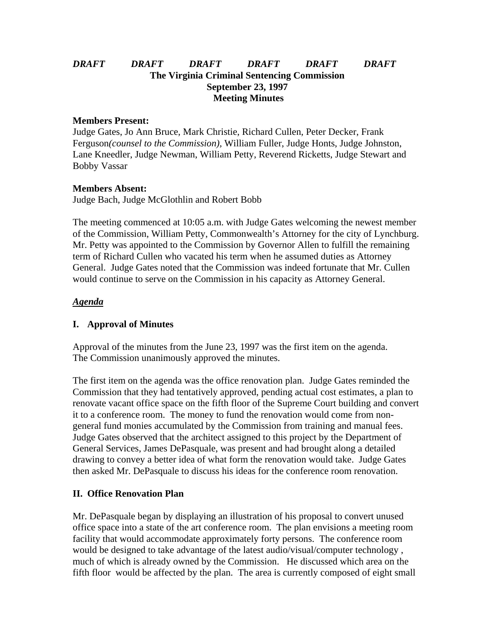## *DRAFT DRAFT DRAFT DRAFT DRAFT DRAFT* **The Virginia Criminal Sentencing Commission September 23, 1997 Meeting Minutes**

### **Members Present:**

Judge Gates, Jo Ann Bruce, Mark Christie, Richard Cullen, Peter Decker, Frank Ferguson*(counsel to the Commission),* William Fuller, Judge Honts, Judge Johnston, Lane Kneedler, Judge Newman, William Petty, Reverend Ricketts, Judge Stewart and Bobby Vassar

### **Members Absent:**

Judge Bach, Judge McGlothlin and Robert Bobb

The meeting commenced at 10:05 a.m. with Judge Gates welcoming the newest member of the Commission, William Petty, Commonwealth's Attorney for the city of Lynchburg. Mr. Petty was appointed to the Commission by Governor Allen to fulfill the remaining term of Richard Cullen who vacated his term when he assumed duties as Attorney General. Judge Gates noted that the Commission was indeed fortunate that Mr. Cullen would continue to serve on the Commission in his capacity as Attorney General.

### *Agenda*

## **I. Approval of Minutes**

Approval of the minutes from the June 23, 1997 was the first item on the agenda. The Commission unanimously approved the minutes.

The first item on the agenda was the office renovation plan. Judge Gates reminded the Commission that they had tentatively approved, pending actual cost estimates, a plan to renovate vacant office space on the fifth floor of the Supreme Court building and convert it to a conference room. The money to fund the renovation would come from nongeneral fund monies accumulated by the Commission from training and manual fees. Judge Gates observed that the architect assigned to this project by the Department of General Services, James DePasquale, was present and had brought along a detailed drawing to convey a better idea of what form the renovation would take. Judge Gates then asked Mr. DePasquale to discuss his ideas for the conference room renovation.

### **II. Office Renovation Plan**

Mr. DePasquale began by displaying an illustration of his proposal to convert unused office space into a state of the art conference room. The plan envisions a meeting room facility that would accommodate approximately forty persons. The conference room would be designed to take advantage of the latest audio/visual/computer technology , much of which is already owned by the Commission. He discussed which area on the fifth floor would be affected by the plan. The area is currently composed of eight small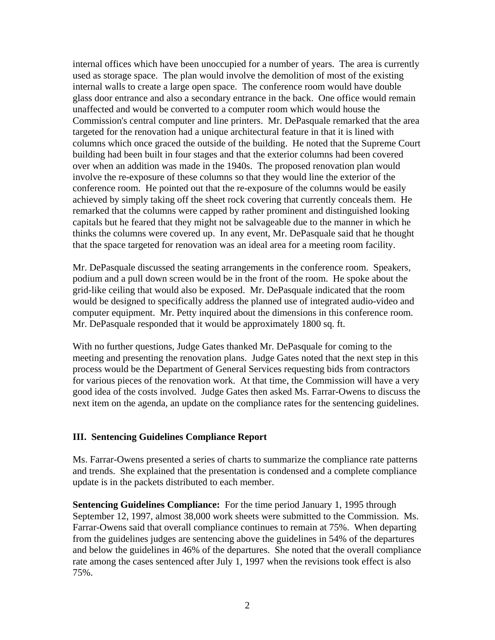internal offices which have been unoccupied for a number of years. The area is currently used as storage space. The plan would involve the demolition of most of the existing internal walls to create a large open space. The conference room would have double glass door entrance and also a secondary entrance in the back. One office would remain unaffected and would be converted to a computer room which would house the Commission's central computer and line printers. Mr. DePasquale remarked that the area targeted for the renovation had a unique architectural feature in that it is lined with columns which once graced the outside of the building. He noted that the Supreme Court building had been built in four stages and that the exterior columns had been covered over when an addition was made in the 1940s. The proposed renovation plan would involve the re-exposure of these columns so that they would line the exterior of the conference room. He pointed out that the re-exposure of the columns would be easily achieved by simply taking off the sheet rock covering that currently conceals them. He remarked that the columns were capped by rather prominent and distinguished looking capitals but he feared that they might not be salvageable due to the manner in which he thinks the columns were covered up. In any event, Mr. DePasquale said that he thought that the space targeted for renovation was an ideal area for a meeting room facility.

Mr. DePasquale discussed the seating arrangements in the conference room. Speakers, podium and a pull down screen would be in the front of the room. He spoke about the grid-like ceiling that would also be exposed. Mr. DePasquale indicated that the room would be designed to specifically address the planned use of integrated audio-video and computer equipment. Mr. Petty inquired about the dimensions in this conference room. Mr. DePasquale responded that it would be approximately 1800 sq. ft.

With no further questions, Judge Gates thanked Mr. DePasquale for coming to the meeting and presenting the renovation plans. Judge Gates noted that the next step in this process would be the Department of General Services requesting bids from contractors for various pieces of the renovation work. At that time, the Commission will have a very good idea of the costs involved. Judge Gates then asked Ms. Farrar-Owens to discuss the next item on the agenda, an update on the compliance rates for the sentencing guidelines.

#### **III. Sentencing Guidelines Compliance Report**

Ms. Farrar-Owens presented a series of charts to summarize the compliance rate patterns and trends. She explained that the presentation is condensed and a complete compliance update is in the packets distributed to each member.

**Sentencing Guidelines Compliance:** For the time period January 1, 1995 through September 12, 1997, almost 38,000 work sheets were submitted to the Commission. Ms. Farrar-Owens said that overall compliance continues to remain at 75%. When departing from the guidelines judges are sentencing above the guidelines in 54% of the departures and below the guidelines in 46% of the departures. She noted that the overall compliance rate among the cases sentenced after July 1, 1997 when the revisions took effect is also 75%.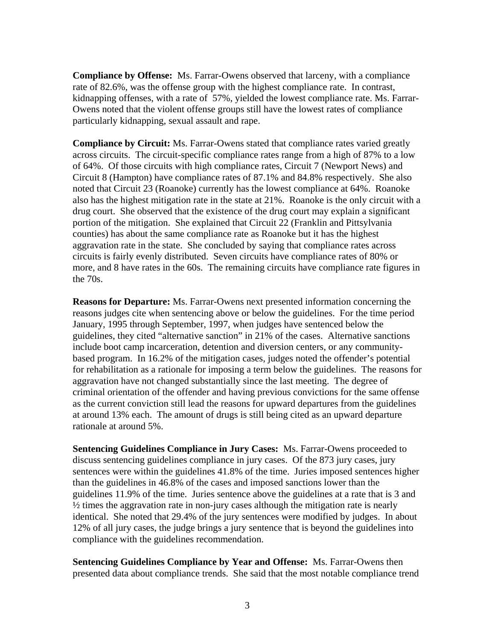**Compliance by Offense:** Ms. Farrar-Owens observed that larceny, with a compliance rate of 82.6%, was the offense group with the highest compliance rate. In contrast, kidnapping offenses, with a rate of 57%, yielded the lowest compliance rate. Ms. Farrar-Owens noted that the violent offense groups still have the lowest rates of compliance particularly kidnapping, sexual assault and rape.

**Compliance by Circuit:** Ms. Farrar-Owens stated that compliance rates varied greatly across circuits. The circuit-specific compliance rates range from a high of 87% to a low of 64%. Of those circuits with high compliance rates, Circuit 7 (Newport News) and Circuit 8 (Hampton) have compliance rates of 87.1% and 84.8% respectively. She also noted that Circuit 23 (Roanoke) currently has the lowest compliance at 64%. Roanoke also has the highest mitigation rate in the state at 21%. Roanoke is the only circuit with a drug court. She observed that the existence of the drug court may explain a significant portion of the mitigation. She explained that Circuit 22 (Franklin and Pittsylvania counties) has about the same compliance rate as Roanoke but it has the highest aggravation rate in the state. She concluded by saying that compliance rates across circuits is fairly evenly distributed. Seven circuits have compliance rates of 80% or more, and 8 have rates in the 60s. The remaining circuits have compliance rate figures in the 70s.

**Reasons for Departure:** Ms. Farrar-Owens next presented information concerning the reasons judges cite when sentencing above or below the guidelines. For the time period January, 1995 through September, 1997, when judges have sentenced below the guidelines, they cited "alternative sanction" in 21% of the cases. Alternative sanctions include boot camp incarceration, detention and diversion centers, or any communitybased program. In 16.2% of the mitigation cases, judges noted the offender's potential for rehabilitation as a rationale for imposing a term below the guidelines. The reasons for aggravation have not changed substantially since the last meeting. The degree of criminal orientation of the offender and having previous convictions for the same offense as the current conviction still lead the reasons for upward departures from the guidelines at around 13% each. The amount of drugs is still being cited as an upward departure rationale at around 5%.

**Sentencing Guidelines Compliance in Jury Cases:** Ms. Farrar-Owens proceeded to discuss sentencing guidelines compliance in jury cases. Of the 873 jury cases, jury sentences were within the guidelines 41.8% of the time. Juries imposed sentences higher than the guidelines in 46.8% of the cases and imposed sanctions lower than the guidelines 11.9% of the time. Juries sentence above the guidelines at a rate that is 3 and  $\frac{1}{2}$  times the aggravation rate in non-jury cases although the mitigation rate is nearly identical. She noted that 29.4% of the jury sentences were modified by judges. In about 12% of all jury cases, the judge brings a jury sentence that is beyond the guidelines into compliance with the guidelines recommendation.

**Sentencing Guidelines Compliance by Year and Offense:** Ms. Farrar-Owens then presented data about compliance trends. She said that the most notable compliance trend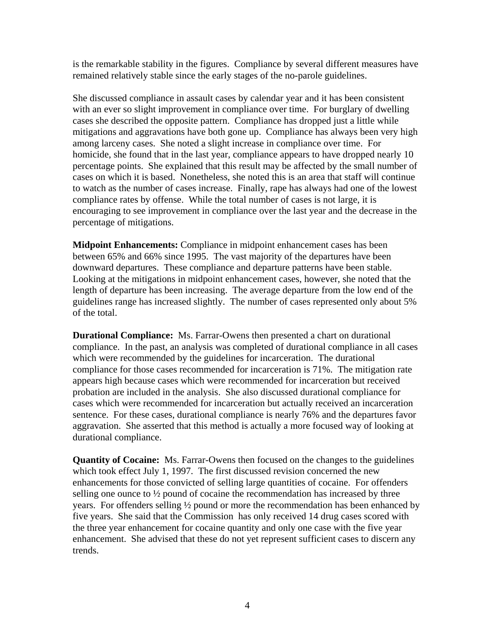is the remarkable stability in the figures. Compliance by several different measures have remained relatively stable since the early stages of the no-parole guidelines.

She discussed compliance in assault cases by calendar year and it has been consistent with an ever so slight improvement in compliance over time. For burglary of dwelling cases she described the opposite pattern. Compliance has dropped just a little while mitigations and aggravations have both gone up. Compliance has always been very high among larceny cases. She noted a slight increase in compliance over time. For homicide, she found that in the last year, compliance appears to have dropped nearly 10 percentage points. She explained that this result may be affected by the small number of cases on which it is based. Nonetheless, she noted this is an area that staff will continue to watch as the number of cases increase. Finally, rape has always had one of the lowest compliance rates by offense. While the total number of cases is not large, it is encouraging to see improvement in compliance over the last year and the decrease in the percentage of mitigations.

**Midpoint Enhancements:** Compliance in midpoint enhancement cases has been between 65% and 66% since 1995. The vast majority of the departures have been downward departures. These compliance and departure patterns have been stable. Looking at the mitigations in midpoint enhancement cases, however, she noted that the length of departure has been increasing. The average departure from the low end of the guidelines range has increased slightly. The number of cases represented only about 5% of the total.

**Durational Compliance:** Ms. Farrar-Owens then presented a chart on durational compliance. In the past, an analysis was completed of durational compliance in all cases which were recommended by the guidelines for incarceration. The durational compliance for those cases recommended for incarceration is 71%. The mitigation rate appears high because cases which were recommended for incarceration but received probation are included in the analysis. She also discussed durational compliance for cases which were recommended for incarceration but actually received an incarceration sentence. For these cases, durational compliance is nearly 76% and the departures favor aggravation. She asserted that this method is actually a more focused way of looking at durational compliance.

**Quantity of Cocaine:** Ms. Farrar-Owens then focused on the changes to the guidelines which took effect July 1, 1997. The first discussed revision concerned the new enhancements for those convicted of selling large quantities of cocaine. For offenders selling one ounce to ½ pound of cocaine the recommendation has increased by three years. For offenders selling ½ pound or more the recommendation has been enhanced by five years. She said that the Commission has only received 14 drug cases scored with the three year enhancement for cocaine quantity and only one case with the five year enhancement. She advised that these do not yet represent sufficient cases to discern any trends.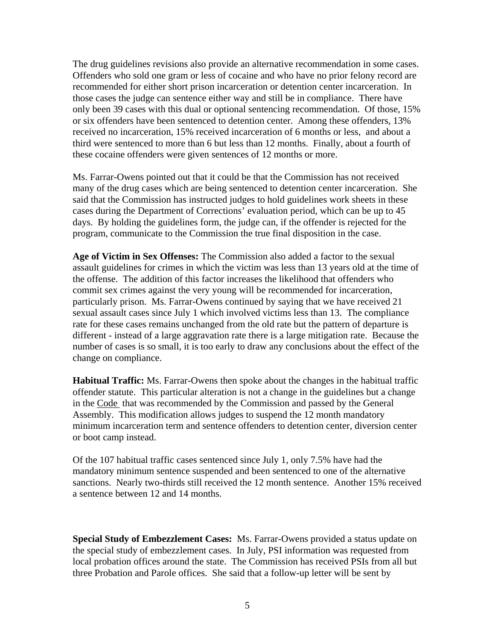The drug guidelines revisions also provide an alternative recommendation in some cases. Offenders who sold one gram or less of cocaine and who have no prior felony record are recommended for either short prison incarceration or detention center incarceration. In those cases the judge can sentence either way and still be in compliance. There have only been 39 cases with this dual or optional sentencing recommendation. Of those, 15% or six offenders have been sentenced to detention center. Among these offenders, 13% received no incarceration, 15% received incarceration of 6 months or less, and about a third were sentenced to more than 6 but less than 12 months. Finally, about a fourth of these cocaine offenders were given sentences of 12 months or more.

Ms. Farrar-Owens pointed out that it could be that the Commission has not received many of the drug cases which are being sentenced to detention center incarceration. She said that the Commission has instructed judges to hold guidelines work sheets in these cases during the Department of Corrections' evaluation period, which can be up to 45 days. By holding the guidelines form, the judge can, if the offender is rejected for the program, communicate to the Commission the true final disposition in the case.

**Age of Victim in Sex Offenses:** The Commission also added a factor to the sexual assault guidelines for crimes in which the victim was less than 13 years old at the time of the offense. The addition of this factor increases the likelihood that offenders who commit sex crimes against the very young will be recommended for incarceration, particularly prison. Ms. Farrar-Owens continued by saying that we have received 21 sexual assault cases since July 1 which involved victims less than 13. The compliance rate for these cases remains unchanged from the old rate but the pattern of departure is different - instead of a large aggravation rate there is a large mitigation rate. Because the number of cases is so small, it is too early to draw any conclusions about the effect of the change on compliance.

**Habitual Traffic:** Ms. Farrar-Owens then spoke about the changes in the habitual traffic offender statute. This particular alteration is not a change in the guidelines but a change in the Code that was recommended by the Commission and passed by the General Assembly. This modification allows judges to suspend the 12 month mandatory minimum incarceration term and sentence offenders to detention center, diversion center or boot camp instead.

Of the 107 habitual traffic cases sentenced since July 1, only 7.5% have had the mandatory minimum sentence suspended and been sentenced to one of the alternative sanctions. Nearly two-thirds still received the 12 month sentence. Another 15% received a sentence between 12 and 14 months.

**Special Study of Embezzlement Cases:** Ms. Farrar-Owens provided a status update on the special study of embezzlement cases. In July, PSI information was requested from local probation offices around the state. The Commission has received PSIs from all but three Probation and Parole offices. She said that a follow-up letter will be sent by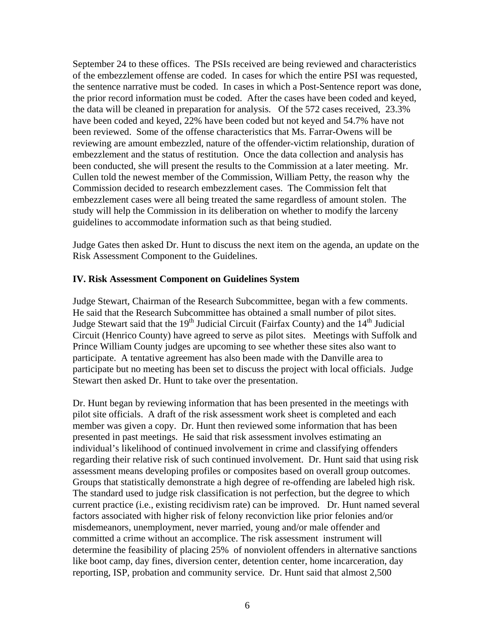September 24 to these offices. The PSIs received are being reviewed and characteristics of the embezzlement offense are coded. In cases for which the entire PSI was requested, the sentence narrative must be coded. In cases in which a Post-Sentence report was done, the prior record information must be coded. After the cases have been coded and keyed, the data will be cleaned in preparation for analysis. Of the 572 cases received, 23.3% have been coded and keyed, 22% have been coded but not keyed and 54.7% have not been reviewed. Some of the offense characteristics that Ms. Farrar-Owens will be reviewing are amount embezzled, nature of the offender-victim relationship, duration of embezzlement and the status of restitution. Once the data collection and analysis has been conducted, she will present the results to the Commission at a later meeting. Mr. Cullen told the newest member of the Commission, William Petty, the reason why the Commission decided to research embezzlement cases. The Commission felt that embezzlement cases were all being treated the same regardless of amount stolen. The study will help the Commission in its deliberation on whether to modify the larceny guidelines to accommodate information such as that being studied.

Judge Gates then asked Dr. Hunt to discuss the next item on the agenda, an update on the Risk Assessment Component to the Guidelines.

### **IV. Risk Assessment Component on Guidelines System**

Judge Stewart, Chairman of the Research Subcommittee, began with a few comments. He said that the Research Subcommittee has obtained a small number of pilot sites. Judge Stewart said that the 19<sup>th</sup> Judicial Circuit (Fairfax County) and the  $14<sup>th</sup>$  Judicial Circuit (Henrico County) have agreed to serve as pilot sites. Meetings with Suffolk and Prince William County judges are upcoming to see whether these sites also want to participate. A tentative agreement has also been made with the Danville area to participate but no meeting has been set to discuss the project with local officials. Judge Stewart then asked Dr. Hunt to take over the presentation.

Dr. Hunt began by reviewing information that has been presented in the meetings with pilot site officials. A draft of the risk assessment work sheet is completed and each member was given a copy. Dr. Hunt then reviewed some information that has been presented in past meetings. He said that risk assessment involves estimating an individual's likelihood of continued involvement in crime and classifying offenders regarding their relative risk of such continued involvement. Dr. Hunt said that using risk assessment means developing profiles or composites based on overall group outcomes. Groups that statistically demonstrate a high degree of re-offending are labeled high risk. The standard used to judge risk classification is not perfection, but the degree to which current practice (i.e., existing recidivism rate) can be improved. Dr. Hunt named several factors associated with higher risk of felony reconviction like prior felonies and/or misdemeanors, unemployment, never married, young and/or male offender and committed a crime without an accomplice. The risk assessment instrument will determine the feasibility of placing 25% of nonviolent offenders in alternative sanctions like boot camp, day fines, diversion center, detention center, home incarceration, day reporting, ISP, probation and community service. Dr. Hunt said that almost 2,500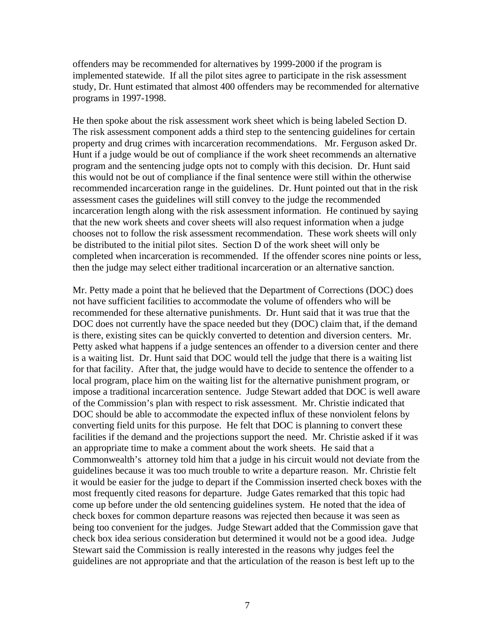offenders may be recommended for alternatives by 1999-2000 if the program is implemented statewide. If all the pilot sites agree to participate in the risk assessment study, Dr. Hunt estimated that almost 400 offenders may be recommended for alternative programs in 1997-1998.

He then spoke about the risk assessment work sheet which is being labeled Section D. The risk assessment component adds a third step to the sentencing guidelines for certain property and drug crimes with incarceration recommendations. Mr. Ferguson asked Dr. Hunt if a judge would be out of compliance if the work sheet recommends an alternative program and the sentencing judge opts not to comply with this decision. Dr. Hunt said this would not be out of compliance if the final sentence were still within the otherwise recommended incarceration range in the guidelines. Dr. Hunt pointed out that in the risk assessment cases the guidelines will still convey to the judge the recommended incarceration length along with the risk assessment information. He continued by saying that the new work sheets and cover sheets will also request information when a judge chooses not to follow the risk assessment recommendation. These work sheets will only be distributed to the initial pilot sites. Section D of the work sheet will only be completed when incarceration is recommended. If the offender scores nine points or less, then the judge may select either traditional incarceration or an alternative sanction.

Mr. Petty made a point that he believed that the Department of Corrections (DOC) does not have sufficient facilities to accommodate the volume of offenders who will be recommended for these alternative punishments. Dr. Hunt said that it was true that the DOC does not currently have the space needed but they (DOC) claim that, if the demand is there, existing sites can be quickly converted to detention and diversion centers. Mr. Petty asked what happens if a judge sentences an offender to a diversion center and there is a waiting list. Dr. Hunt said that DOC would tell the judge that there is a waiting list for that facility. After that, the judge would have to decide to sentence the offender to a local program, place him on the waiting list for the alternative punishment program, or impose a traditional incarceration sentence. Judge Stewart added that DOC is well aware of the Commission's plan with respect to risk assessment. Mr. Christie indicated that DOC should be able to accommodate the expected influx of these nonviolent felons by converting field units for this purpose. He felt that DOC is planning to convert these facilities if the demand and the projections support the need. Mr. Christie asked if it was an appropriate time to make a comment about the work sheets. He said that a Commonwealth's attorney told him that a judge in his circuit would not deviate from the guidelines because it was too much trouble to write a departure reason. Mr. Christie felt it would be easier for the judge to depart if the Commission inserted check boxes with the most frequently cited reasons for departure. Judge Gates remarked that this topic had come up before under the old sentencing guidelines system. He noted that the idea of check boxes for common departure reasons was rejected then because it was seen as being too convenient for the judges. Judge Stewart added that the Commission gave that check box idea serious consideration but determined it would not be a good idea. Judge Stewart said the Commission is really interested in the reasons why judges feel the guidelines are not appropriate and that the articulation of the reason is best left up to the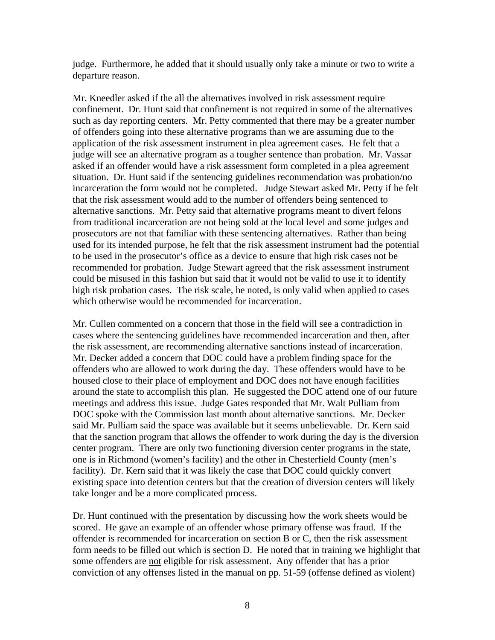judge. Furthermore, he added that it should usually only take a minute or two to write a departure reason.

Mr. Kneedler asked if the all the alternatives involved in risk assessment require confinement. Dr. Hunt said that confinement is not required in some of the alternatives such as day reporting centers. Mr. Petty commented that there may be a greater number of offenders going into these alternative programs than we are assuming due to the application of the risk assessment instrument in plea agreement cases. He felt that a judge will see an alternative program as a tougher sentence than probation. Mr. Vassar asked if an offender would have a risk assessment form completed in a plea agreement situation. Dr. Hunt said if the sentencing guidelines recommendation was probation/no incarceration the form would not be completed. Judge Stewart asked Mr. Petty if he felt that the risk assessment would add to the number of offenders being sentenced to alternative sanctions. Mr. Petty said that alternative programs meant to divert felons from traditional incarceration are not being sold at the local level and some judges and prosecutors are not that familiar with these sentencing alternatives. Rather than being used for its intended purpose, he felt that the risk assessment instrument had the potential to be used in the prosecutor's office as a device to ensure that high risk cases not be recommended for probation. Judge Stewart agreed that the risk assessment instrument could be misused in this fashion but said that it would not be valid to use it to identify high risk probation cases. The risk scale, he noted, is only valid when applied to cases which otherwise would be recommended for incarceration.

Mr. Cullen commented on a concern that those in the field will see a contradiction in cases where the sentencing guidelines have recommended incarceration and then, after the risk assessment, are recommending alternative sanctions instead of incarceration. Mr. Decker added a concern that DOC could have a problem finding space for the offenders who are allowed to work during the day. These offenders would have to be housed close to their place of employment and DOC does not have enough facilities around the state to accomplish this plan. He suggested the DOC attend one of our future meetings and address this issue. Judge Gates responded that Mr. Walt Pulliam from DOC spoke with the Commission last month about alternative sanctions. Mr. Decker said Mr. Pulliam said the space was available but it seems unbelievable. Dr. Kern said that the sanction program that allows the offender to work during the day is the diversion center program. There are only two functioning diversion center programs in the state, one is in Richmond (women's facility) and the other in Chesterfield County (men's facility). Dr. Kern said that it was likely the case that DOC could quickly convert existing space into detention centers but that the creation of diversion centers will likely take longer and be a more complicated process.

Dr. Hunt continued with the presentation by discussing how the work sheets would be scored. He gave an example of an offender whose primary offense was fraud. If the offender is recommended for incarceration on section B or C, then the risk assessment form needs to be filled out which is section D. He noted that in training we highlight that some offenders are not eligible for risk assessment. Any offender that has a prior conviction of any offenses listed in the manual on pp. 51-59 (offense defined as violent)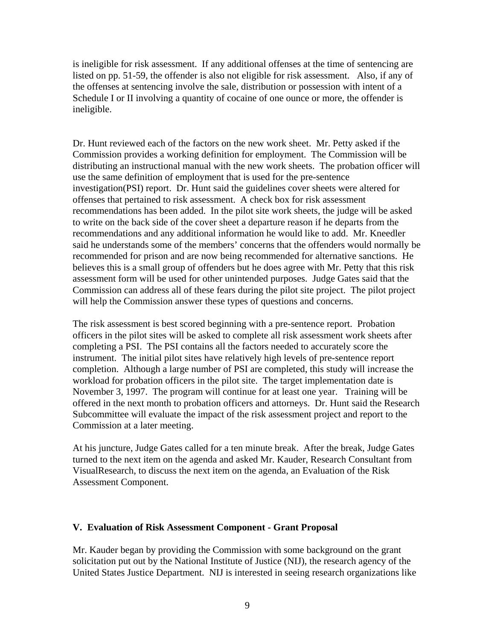is ineligible for risk assessment. If any additional offenses at the time of sentencing are listed on pp. 51-59, the offender is also not eligible for risk assessment. Also, if any of the offenses at sentencing involve the sale, distribution or possession with intent of a Schedule I or II involving a quantity of cocaine of one ounce or more, the offender is ineligible.

Dr. Hunt reviewed each of the factors on the new work sheet. Mr. Petty asked if the Commission provides a working definition for employment. The Commission will be distributing an instructional manual with the new work sheets. The probation officer will use the same definition of employment that is used for the pre-sentence investigation(PSI) report. Dr. Hunt said the guidelines cover sheets were altered for offenses that pertained to risk assessment. A check box for risk assessment recommendations has been added. In the pilot site work sheets, the judge will be asked to write on the back side of the cover sheet a departure reason if he departs from the recommendations and any additional information he would like to add. Mr. Kneedler said he understands some of the members' concerns that the offenders would normally be recommended for prison and are now being recommended for alternative sanctions. He believes this is a small group of offenders but he does agree with Mr. Petty that this risk assessment form will be used for other unintended purposes. Judge Gates said that the Commission can address all of these fears during the pilot site project. The pilot project will help the Commission answer these types of questions and concerns.

The risk assessment is best scored beginning with a pre-sentence report. Probation officers in the pilot sites will be asked to complete all risk assessment work sheets after completing a PSI. The PSI contains all the factors needed to accurately score the instrument. The initial pilot sites have relatively high levels of pre-sentence report completion. Although a large number of PSI are completed, this study will increase the workload for probation officers in the pilot site. The target implementation date is November 3, 1997. The program will continue for at least one year. Training will be offered in the next month to probation officers and attorneys. Dr. Hunt said the Research Subcommittee will evaluate the impact of the risk assessment project and report to the Commission at a later meeting.

At his juncture, Judge Gates called for a ten minute break. After the break, Judge Gates turned to the next item on the agenda and asked Mr. Kauder, Research Consultant from VisualResearch, to discuss the next item on the agenda, an Evaluation of the Risk Assessment Component.

#### **V. Evaluation of Risk Assessment Component - Grant Proposal**

Mr. Kauder began by providing the Commission with some background on the grant solicitation put out by the National Institute of Justice (NIJ), the research agency of the United States Justice Department. NIJ is interested in seeing research organizations like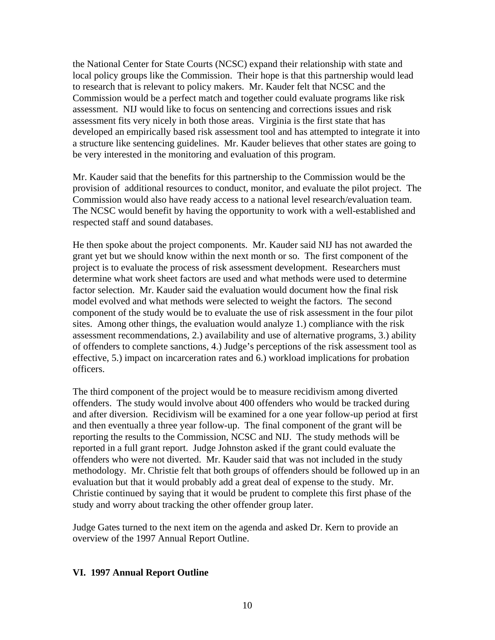the National Center for State Courts (NCSC) expand their relationship with state and local policy groups like the Commission. Their hope is that this partnership would lead to research that is relevant to policy makers. Mr. Kauder felt that NCSC and the Commission would be a perfect match and together could evaluate programs like risk assessment. NIJ would like to focus on sentencing and corrections issues and risk assessment fits very nicely in both those areas. Virginia is the first state that has developed an empirically based risk assessment tool and has attempted to integrate it into a structure like sentencing guidelines. Mr. Kauder believes that other states are going to be very interested in the monitoring and evaluation of this program.

Mr. Kauder said that the benefits for this partnership to the Commission would be the provision of additional resources to conduct, monitor, and evaluate the pilot project. The Commission would also have ready access to a national level research/evaluation team. The NCSC would benefit by having the opportunity to work with a well-established and respected staff and sound databases.

He then spoke about the project components. Mr. Kauder said NIJ has not awarded the grant yet but we should know within the next month or so. The first component of the project is to evaluate the process of risk assessment development. Researchers must determine what work sheet factors are used and what methods were used to determine factor selection. Mr. Kauder said the evaluation would document how the final risk model evolved and what methods were selected to weight the factors. The second component of the study would be to evaluate the use of risk assessment in the four pilot sites. Among other things, the evaluation would analyze 1.) compliance with the risk assessment recommendations, 2.) availability and use of alternative programs, 3.) ability of offenders to complete sanctions, 4.) Judge's perceptions of the risk assessment tool as effective, 5.) impact on incarceration rates and 6.) workload implications for probation officers.

The third component of the project would be to measure recidivism among diverted offenders. The study would involve about 400 offenders who would be tracked during and after diversion. Recidivism will be examined for a one year follow-up period at first and then eventually a three year follow-up. The final component of the grant will be reporting the results to the Commission, NCSC and NIJ. The study methods will be reported in a full grant report. Judge Johnston asked if the grant could evaluate the offenders who were not diverted. Mr. Kauder said that was not included in the study methodology. Mr. Christie felt that both groups of offenders should be followed up in an evaluation but that it would probably add a great deal of expense to the study. Mr. Christie continued by saying that it would be prudent to complete this first phase of the study and worry about tracking the other offender group later.

Judge Gates turned to the next item on the agenda and asked Dr. Kern to provide an overview of the 1997 Annual Report Outline.

# **VI. 1997 Annual Report Outline**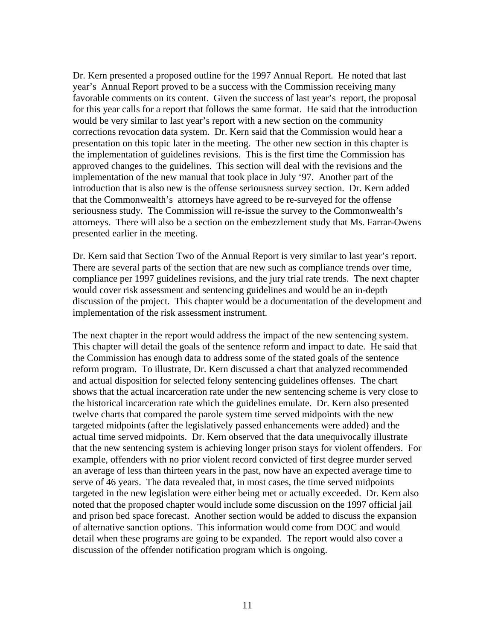Dr. Kern presented a proposed outline for the 1997 Annual Report. He noted that last year's Annual Report proved to be a success with the Commission receiving many favorable comments on its content. Given the success of last year's report, the proposal for this year calls for a report that follows the same format. He said that the introduction would be very similar to last year's report with a new section on the community corrections revocation data system. Dr. Kern said that the Commission would hear a presentation on this topic later in the meeting. The other new section in this chapter is the implementation of guidelines revisions. This is the first time the Commission has approved changes to the guidelines. This section will deal with the revisions and the implementation of the new manual that took place in July '97. Another part of the introduction that is also new is the offense seriousness survey section. Dr. Kern added that the Commonwealth's attorneys have agreed to be re-surveyed for the offense seriousness study. The Commission will re-issue the survey to the Commonwealth's attorneys. There will also be a section on the embezzlement study that Ms. Farrar-Owens presented earlier in the meeting.

Dr. Kern said that Section Two of the Annual Report is very similar to last year's report. There are several parts of the section that are new such as compliance trends over time, compliance per 1997 guidelines revisions, and the jury trial rate trends. The next chapter would cover risk assessment and sentencing guidelines and would be an in-depth discussion of the project. This chapter would be a documentation of the development and implementation of the risk assessment instrument.

The next chapter in the report would address the impact of the new sentencing system. This chapter will detail the goals of the sentence reform and impact to date. He said that the Commission has enough data to address some of the stated goals of the sentence reform program. To illustrate, Dr. Kern discussed a chart that analyzed recommended and actual disposition for selected felony sentencing guidelines offenses. The chart shows that the actual incarceration rate under the new sentencing scheme is very close to the historical incarceration rate which the guidelines emulate. Dr. Kern also presented twelve charts that compared the parole system time served midpoints with the new targeted midpoints (after the legislatively passed enhancements were added) and the actual time served midpoints. Dr. Kern observed that the data unequivocally illustrate that the new sentencing system is achieving longer prison stays for violent offenders. For example, offenders with no prior violent record convicted of first degree murder served an average of less than thirteen years in the past, now have an expected average time to serve of 46 years. The data revealed that, in most cases, the time served midpoints targeted in the new legislation were either being met or actually exceeded. Dr. Kern also noted that the proposed chapter would include some discussion on the 1997 official jail and prison bed space forecast. Another section would be added to discuss the expansion of alternative sanction options. This information would come from DOC and would detail when these programs are going to be expanded. The report would also cover a discussion of the offender notification program which is ongoing.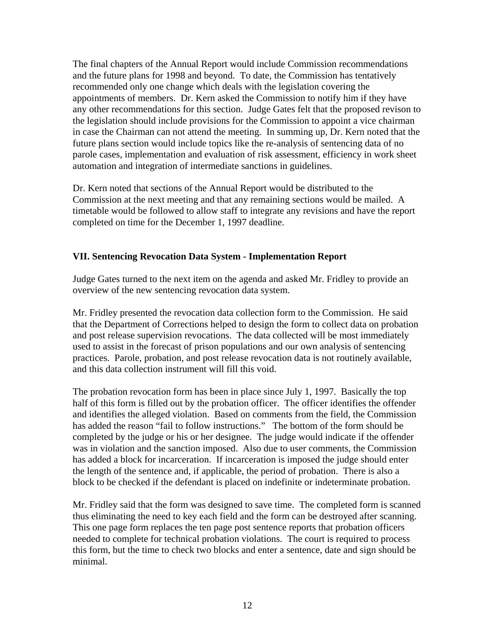The final chapters of the Annual Report would include Commission recommendations and the future plans for 1998 and beyond. To date, the Commission has tentatively recommended only one change which deals with the legislation covering the appointments of members. Dr. Kern asked the Commission to notify him if they have any other recommendations for this section. Judge Gates felt that the proposed revison to the legislation should include provisions for the Commission to appoint a vice chairman in case the Chairman can not attend the meeting. In summing up, Dr. Kern noted that the future plans section would include topics like the re-analysis of sentencing data of no parole cases, implementation and evaluation of risk assessment, efficiency in work sheet automation and integration of intermediate sanctions in guidelines.

Dr. Kern noted that sections of the Annual Report would be distributed to the Commission at the next meeting and that any remaining sections would be mailed. A timetable would be followed to allow staff to integrate any revisions and have the report completed on time for the December 1, 1997 deadline.

# **VII. Sentencing Revocation Data System - Implementation Report**

Judge Gates turned to the next item on the agenda and asked Mr. Fridley to provide an overview of the new sentencing revocation data system.

Mr. Fridley presented the revocation data collection form to the Commission. He said that the Department of Corrections helped to design the form to collect data on probation and post release supervision revocations. The data collected will be most immediately used to assist in the forecast of prison populations and our own analysis of sentencing practices. Parole, probation, and post release revocation data is not routinely available, and this data collection instrument will fill this void.

The probation revocation form has been in place since July 1, 1997. Basically the top half of this form is filled out by the probation officer. The officer identifies the offender and identifies the alleged violation. Based on comments from the field, the Commission has added the reason "fail to follow instructions." The bottom of the form should be completed by the judge or his or her designee. The judge would indicate if the offender was in violation and the sanction imposed. Also due to user comments, the Commission has added a block for incarceration. If incarceration is imposed the judge should enter the length of the sentence and, if applicable, the period of probation. There is also a block to be checked if the defendant is placed on indefinite or indeterminate probation.

Mr. Fridley said that the form was designed to save time. The completed form is scanned thus eliminating the need to key each field and the form can be destroyed after scanning. This one page form replaces the ten page post sentence reports that probation officers needed to complete for technical probation violations. The court is required to process this form, but the time to check two blocks and enter a sentence, date and sign should be minimal.